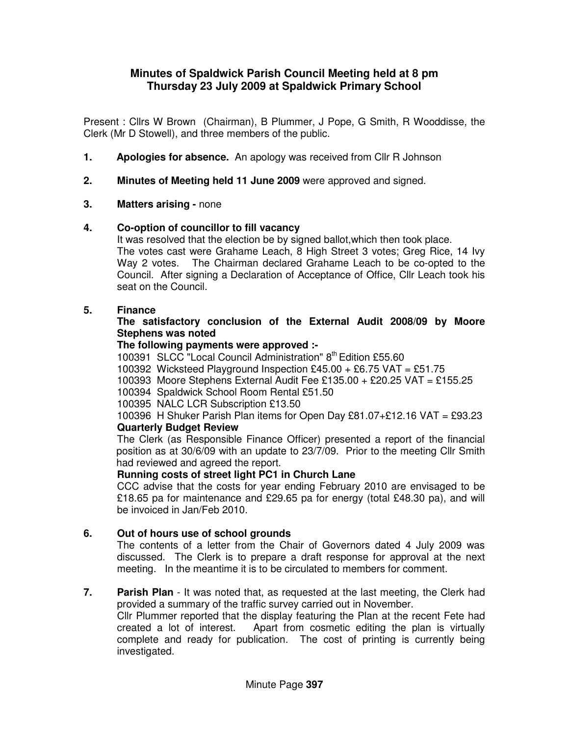# **Minutes of Spaldwick Parish Council Meeting held at 8 pm Thursday 23 July 2009 at Spaldwick Primary School**

Present : Cllrs W Brown (Chairman), B Plummer, J Pope, G Smith, R Wooddisse, the Clerk (Mr D Stowell), and three members of the public.

- **1. Apologies for absence.** An apology was received from Cllr R Johnson
- **2. Minutes of Meeting held 11 June 2009** were approved and signed.

## **3. Matters arising -** none

## **4. Co-option of councillor to fill vacancy**

It was resolved that the election be by signed ballot,which then took place. The votes cast were Grahame Leach, 8 High Street 3 votes; Greg Rice, 14 Ivy Way 2 votes. The Chairman declared Grahame Leach to be co-opted to the Council. After signing a Declaration of Acceptance of Office, Cllr Leach took his seat on the Council.

## **5. Finance**

#### **The satisfactory conclusion of the External Audit 2008/09 by Moore Stephens was noted**

#### **The following payments were approved :-**

100391 SLCC "Local Council Administration" 8<sup>th</sup> Edition £55.60

- 100392 Wicksteed Playground Inspection £45.00 + £6.75 VAT = £51.75
- 100393 Moore Stephens External Audit Fee £135.00 + £20.25 VAT = £155.25
- 100394 Spaldwick School Room Rental £51.50

100395 NALC LCR Subscription £13.50

 100396 H Shuker Parish Plan items for Open Day £81.07+£12.16 VAT = £93.23  **Quarterly Budget Review** 

The Clerk (as Responsible Finance Officer) presented a report of the financial position as at 30/6/09 with an update to 23/7/09. Prior to the meeting Cllr Smith had reviewed and agreed the report.

#### **Running costs of street light PC1 in Church Lane**

CCC advise that the costs for year ending February 2010 are envisaged to be £18.65 pa for maintenance and £29.65 pa for energy (total £48.30 pa), and will be invoiced in Jan/Feb 2010.

## **6. Out of hours use of school grounds**

The contents of a letter from the Chair of Governors dated 4 July 2009 was discussed. The Clerk is to prepare a draft response for approval at the next meeting. In the meantime it is to be circulated to members for comment.

**7. Parish Plan** - It was noted that, as requested at the last meeting, the Clerk had provided a summary of the traffic survey carried out in November.

Cllr Plummer reported that the display featuring the Plan at the recent Fete had created a lot of interest. Apart from cosmetic editing the plan is virtually complete and ready for publication. The cost of printing is currently being investigated.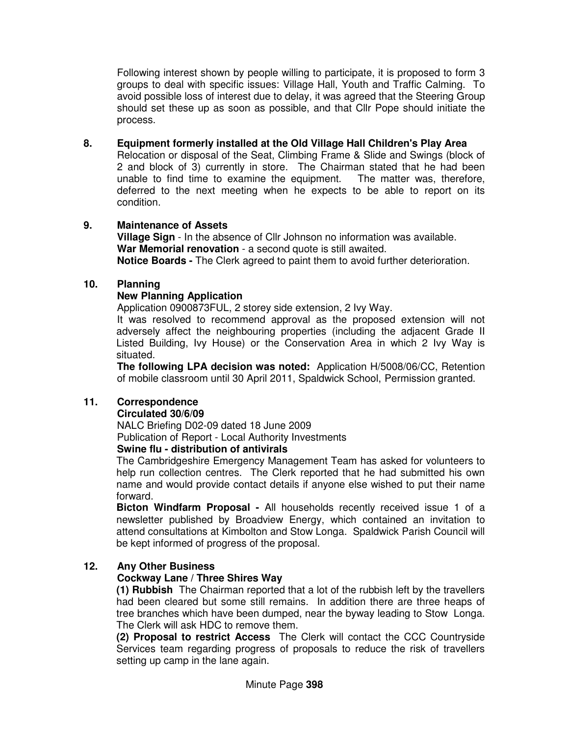Following interest shown by people willing to participate, it is proposed to form 3 groups to deal with specific issues: Village Hall, Youth and Traffic Calming. To avoid possible loss of interest due to delay, it was agreed that the Steering Group should set these up as soon as possible, and that Cllr Pope should initiate the process.

#### **8. Equipment formerly installed at the Old Village Hall Children's Play Area**

Relocation or disposal of the Seat, Climbing Frame & Slide and Swings (block of 2 and block of 3) currently in store. The Chairman stated that he had been unable to find time to examine the equipment. The matter was, therefore, deferred to the next meeting when he expects to be able to report on its condition.

## **9. Maintenance of Assets**

**Village Sign** - In the absence of Cllr Johnson no information was available.  **War Memorial renovation** - a second quote is still awaited. **Notice Boards -** The Clerk agreed to paint them to avoid further deterioration.

## **10. Planning**

## **New Planning Application**

Application 0900873FUL, 2 storey side extension, 2 Ivy Way.

 It was resolved to recommend approval as the proposed extension will not adversely affect the neighbouring properties (including the adjacent Grade II Listed Building, Ivy House) or the Conservation Area in which 2 Ivy Way is situated.

**The following LPA decision was noted:** Application H/5008/06/CC, Retention of mobile classroom until 30 April 2011, Spaldwick School, Permission granted.

## **11. Correspondence**

## **Circulated 30/6/09**

NALC Briefing D02-09 dated 18 June 2009

Publication of Report - Local Authority Investments

#### **Swine flu - distribution of antivirals**

The Cambridgeshire Emergency Management Team has asked for volunteers to help run collection centres. The Clerk reported that he had submitted his own name and would provide contact details if anyone else wished to put their name forward.

**Bicton Windfarm Proposal -** All households recently received issue 1 of a newsletter published by Broadview Energy, which contained an invitation to attend consultations at Kimbolton and Stow Longa. Spaldwick Parish Council will be kept informed of progress of the proposal.

## **12. Any Other Business**

#### **Cockway Lane / Three Shires Way**

**(1) Rubbish** The Chairman reported that a lot of the rubbish left by the travellers had been cleared but some still remains. In addition there are three heaps of tree branches which have been dumped, near the byway leading to Stow Longa. The Clerk will ask HDC to remove them.

**(2) Proposal to restrict Access** The Clerk will contact the CCC Countryside Services team regarding progress of proposals to reduce the risk of travellers setting up camp in the lane again.